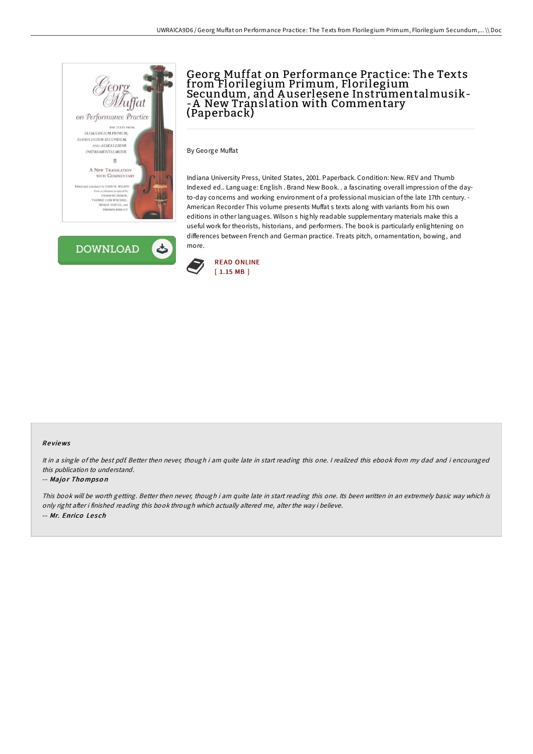



# Georg Muffat on Performance Practice: The Texts from Florilegium Primum, Florilegium Secundum, and A userlesene Instrumentalmusik- -A New Translation with Commentary (Paperback)

By George Muffat

Indiana University Press, United States, 2001. Paperback. Condition: New. REV and Thumb Indexed ed.. Language: English . Brand New Book. . a fascinating overall impression of the dayto-day concerns and working environment of a professional musician of the late 17th century. - American Recorder This volume presents Muffat s texts along with variants from his own editions in other languages. Wilson s highly readable supplementary materials make this a useful work for theorists, historians, and performers. The book is particularly enlightening on differences between French and German practice. Treats pitch, ornamentation, bowing, and more.



### Re views

It in a single of the best pdf. Better then never, though i am quite late in start reading this one. I realized this ebook from my dad and i encouraged this publication to understand.

### -- Major Thompson

This book will be worth getting. Better then never, though i am quite late in start reading this one. Its been written in an extremely basic way which is only right after i finished reading this book through which actually altered me, alter the way i believe. -- Mr. Enrico Lesch